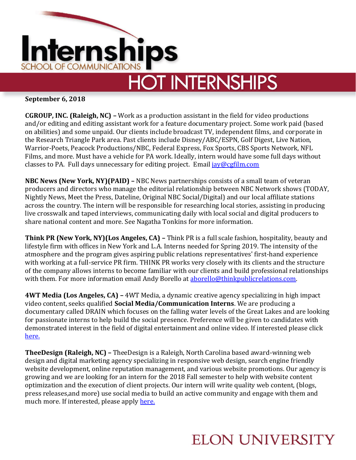

## **HOT INTERNSHIPS**

**September 6, 2018**

**CGROUP, INC. (Raleigh, NC) –** Work as a production assistant in the field for video productions and/or editing and editing assistant work for a feature documentary project. Some work paid (based on abilities) and some unpaid. Our clients include broadcast TV, independent films, and corporate in the Research Triangle Park area. Past clients include Disney/ABC/ESPN, Golf Digest, Live Nation, Warrior-Poets, Peacock Productions/NBC, Federal Express, Fox Sports, CBS Sports Network, NFL Films, and more. Must have a vehicle for PA work. Ideally, intern would have some full days without classes to PA. Full days unnecessary for editing project. Email  $i$ ay@cgfilm.com

**NBC News (New York, NY)(PAID) –** NBC News partnerships consists of a small team of veteran producers and directors who manage the editorial relationship between NBC Network shows (TODAY, Nightly News, Meet the Press, Dateline, Original NBC Social/Digital) and our local affiliate stations across the country. The intern will be responsible for researching local stories, assisting in producing live crosswalk and taped interviews, communicating daily with local social and digital producers to share national content and more. See Nagatha Tonkins for more information.

**Think PR (New York, NY)(Los Angeles, CA) –** Think PR is a full scale fashion, hospitality, beauty and lifestyle firm with offices in New York and L.A. Interns needed for Spring 2019. The intensity of the atmosphere and the program gives aspiring public relations representatives' first-hand experience with working at a full-service PR firm. THINK PR works very closely with its clients and the structure of the company allows interns to become familiar with our clients and build professional relationships with them. For more information email Andy Borello at aborello@thinkpublicrelations.com.

**4WT Media (Los Angeles, CA) –** 4WT Media, a dynamic creative agency specializing in high impact video content, seeks qualified **Social Media/Communication Interns**. We are producing a documentary called DRAIN which focuses on the falling water levels of the Great Lakes and are looking for passionate interns to help build the social presence. Preference will be given to candidates with demonstrated interest in the field of digital entertainment and online video. If interested please click [here.](https://www.ziprecruiter.com/jobs/4wt-media-62e9f8ee/social-media-pr-internship-for-environmental-documentary-62fa88ed?mid=1595&source=feed-linkedin)

**TheeDesign (Raleigh, NC) –** TheeDesign is a Raleigh, North Carolina based award-winning web design and digital marketing agency specializing in responsive web design, search engine friendly website development, online reputation management, and various website promotions. Our agency is growing and we are looking for an intern for the 2018 Fall semester to help with website content optimization and the execution of client projects. Our intern will write quality web content, (blogs, press releases,and more) use social media to build an active community and engage with them and much more. If interested, please apply [here.](https://www.theedesign.com/agency/career/internet-marketing-intern)

## **ELON UNIVERSITY**